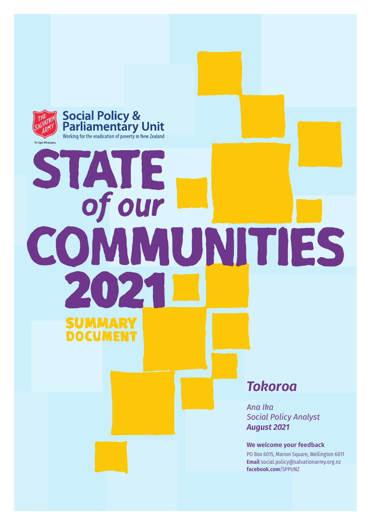